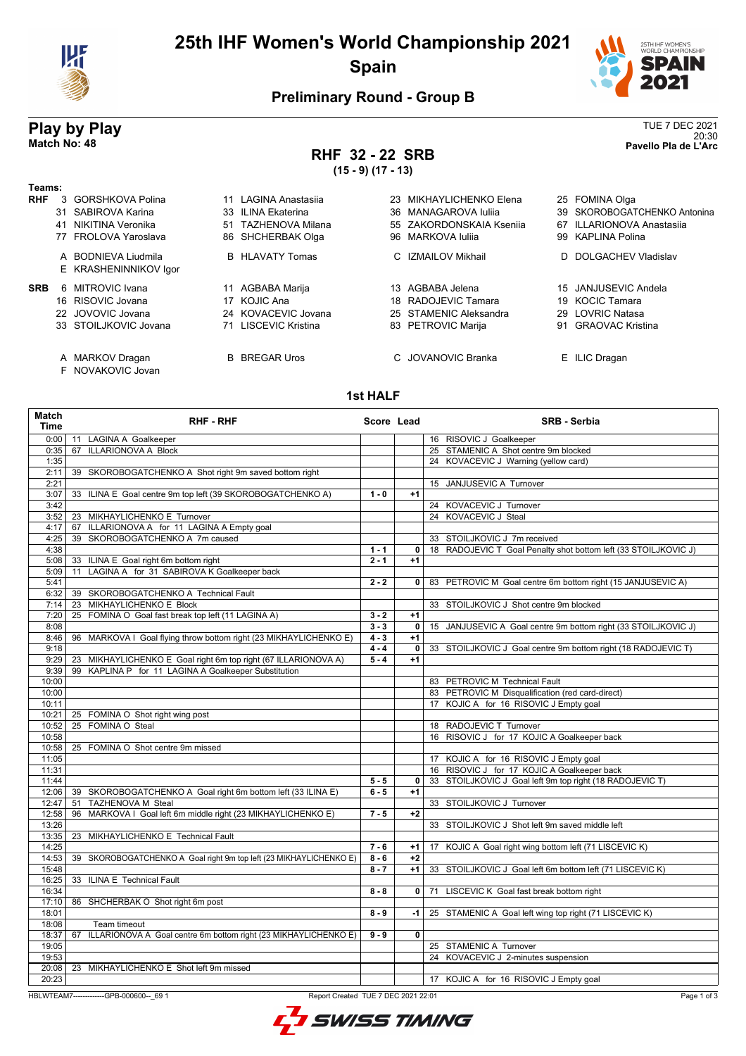

## **25th IHF Women's World Championship 2021 Spain**



20:30 **Match No: 48 Pavello Pla de L'Arc**

#### **Preliminary Round - Group B**

# **Play by Play**<br>Match No: 48<br>Pavello Pla de L'Arc

**Teams:**

# **RHF 32 - 22 SRB**

**(15 - 9) (17 - 13)**

| Teams:     |                                              |                         |                          |                              |
|------------|----------------------------------------------|-------------------------|--------------------------|------------------------------|
| <b>RHF</b> | 3 GORSHKOVA Polina                           | LAGINA Anastasiia<br>11 | 23 MIKHAYLICHENKO Elena  | 25 FOMINA Olga               |
|            | 31 SABIROVA Karina                           | 33 ILINA Ekaterina      | 36 MANAGAROVA Iulija     | 39 SKOROBOGATCHENKO Antonina |
|            | NIKITINA Veronika<br>41                      | 51 TAZHENOVA Milana     | 55 ZAKORDONSKAIA Ksenija | 67 ILLARIONOVA Anastasija    |
|            | 77 FROLOVA Yaroslava                         | 86 SHCHERBAK Olga       | 96 MARKOVA Iulija        | 99 KAPLINA Polina            |
|            | A BODNIEVA Liudmila<br>E KRASHENINNIKOV Igor | <b>B</b> HLAVATY Tomas  | C IZMAILOV Mikhail       | D DOLGACHEV Vladislav        |
| <b>SRB</b> | 6 MITROVIC Ivana                             | 11 AGBABA Marija        | 13 AGBABA Jelena         | 15 JANJUSEVIC Andela         |
|            | 16 RISOVIC Jovana                            | 17 KOJIC Ana            | 18 RADOJEVIC Tamara      | 19 KOCIC Tamara              |
|            | 22 JOVOVIC Jovana                            | 24 KOVACEVIC Jovana     | 25 STAMENIC Aleksandra   | 29 LOVRIC Natasa             |
|            | 33 STOILJKOVIC Jovana                        | 71 LISCEVIC Kristina    | 83 PETROVIC Marija       | 91 GRAOVAC Kristina          |
|            | A MARKOV Dragan                              | <b>B</b> BREGAR Uros    | C. JOVANOVIC Branka      | E ILIC Dragan                |

F NOVAKOVIC Jovan

#### **1st HALF**

| <b>Match</b><br><b>Time</b> | <b>RHF - RHF</b>                                                   | Score Lead |                | <b>SRB - Serbia</b>                                             |
|-----------------------------|--------------------------------------------------------------------|------------|----------------|-----------------------------------------------------------------|
| 0:00                        | 11 LAGINA A Goalkeeper                                             |            |                | 16 RISOVIC J Goalkeeper                                         |
| 0:35                        | 67 ILLARIONOVA A Block                                             |            |                | 25 STAMENIC A Shot centre 9m blocked                            |
| 1:35                        |                                                                    |            |                | 24 KOVACEVIC J Warning (yellow card)                            |
| 2:11                        | 39 SKOROBOGATCHENKO A Shot right 9m saved bottom right             |            |                |                                                                 |
| 2:21                        |                                                                    |            |                | 15 JANJUSEVIC A Turnover                                        |
| 3:07                        | 33 ILINA E Goal centre 9m top left (39 SKOROBOGATCHENKO A)         | $1 - 0$    | $+1$           |                                                                 |
| 3:42                        |                                                                    |            |                | 24 KOVACEVIC J Turnover                                         |
| 3:52                        | 23 MIKHAYLICHENKO E Turnover                                       |            |                | 24 KOVACEVIC J Steal                                            |
| 4:17                        | 67 ILLARIONOVA A for 11 LAGINA A Empty goal                        |            |                |                                                                 |
| 4:25                        | 39 SKOROBOGATCHENKO A 7m caused                                    |            |                | 33 STOILJKOVIC J 7m received                                    |
| 4:38                        |                                                                    | $1 - 1$    | $\overline{0}$ | 18 RADOJEVIC T Goal Penalty shot bottom left (33 STOILJKOVIC J) |
| 5:08                        | 33 ILINA E Goal right 6m bottom right                              | $2 - 1$    | $+1$           |                                                                 |
| 5:09                        | 11 LAGINA A for 31 SABIROVA K Goalkeeper back                      |            |                |                                                                 |
| 5:41                        |                                                                    | $2 - 2$    |                | 0   83 PETROVIC M Goal centre 6m bottom right (15 JANJUSEVIC A) |
| 6:32                        | 39 SKOROBOGATCHENKO A Technical Fault                              |            |                |                                                                 |
| 7:14                        | 23 MIKHAYLICHENKO E Block                                          |            |                | 33 STOILJKOVIC J Shot centre 9m blocked                         |
| 7:20                        | 25 FOMINA O Goal fast break top left (11 LAGINA A)                 | $3 - 2$    | $+1$           |                                                                 |
| 8:08                        |                                                                    | $3 - 3$    | $\mathbf{0}$   | 15 JANJUSEVIC A Goal centre 9m bottom right (33 STOILJKOVIC J)  |
| 8:46                        | 96 MARKOVA I Goal flying throw bottom right (23 MIKHAYLICHENKO E)  | $4 - 3$    | $+1$           |                                                                 |
| 9:18                        |                                                                    | $4 - 4$    |                | 0 33 STOILJKOVIC J Goal centre 9m bottom right (18 RADOJEVIC T) |
| 9:29                        | 23 MIKHAYLICHENKO E Goal right 6m top right (67 ILLARIONOVA A)     | $5 - 4$    | $+1$           |                                                                 |
| 9:39                        | 99 KAPLINA P for 11 LAGINA A Goalkeeper Substitution               |            |                |                                                                 |
| 10:00                       |                                                                    |            |                | 83 PETROVIC M Technical Fault                                   |
| 10:00                       |                                                                    |            |                | 83 PETROVIC M Disqualification (red card-direct)                |
| 10:11                       |                                                                    |            |                | 17 KOJIC A for 16 RISOVIC J Empty goal                          |
| 10:21                       | 25 FOMINA O Shot right wing post                                   |            |                |                                                                 |
| 10:52                       | 25 FOMINA O Steal                                                  |            |                | 18 RADOJEVIC T Turnover                                         |
| 10:58                       |                                                                    |            |                | 16 RISOVIC J for 17 KOJIC A Goalkeeper back                     |
| 10:58                       | 25 FOMINA O Shot centre 9m missed                                  |            |                |                                                                 |
| 11:05                       |                                                                    |            |                | 17 KOJIC A for 16 RISOVIC J Empty goal                          |
| 11:31                       |                                                                    |            |                | 16 RISOVIC J for 17 KOJIC A Goalkeeper back                     |
| 11:44                       |                                                                    | $5 - 5$    | 0 <sup>1</sup> | 33 STOILJKOVIC J Goal left 9m top right (18 RADOJEVIC T)        |
| 12:06                       | 39 SKOROBOGATCHENKO A Goal right 6m bottom left (33 ILINA E)       | $6 - 5$    | $+1$           |                                                                 |
| 12:47                       | <b>TAZHENOVA M Steal</b><br>51                                     |            |                | 33 STOILJKOVIC J Turnover                                       |
| 12:58                       | 96 MARKOVA I Goal left 6m middle right (23 MIKHAYLICHENKO E)       | $7 - 5$    | $+2$           |                                                                 |
| 13:26                       |                                                                    |            |                | 33 STOILJKOVIC J Shot left 9m saved middle left                 |
| 13:35                       | 23 MIKHAYLICHENKO E Technical Fault                                |            |                |                                                                 |
| 14:25                       |                                                                    | $7 - 6$    | $+1$           | 17 KOJIC A Goal right wing bottom left (71 LISCEVIC K)          |
| 14:53                       | 39 SKOROBOGATCHENKO A Goal right 9m top left (23 MIKHAYLICHENKO E) | $8 - 6$    | $+2$           |                                                                 |
| 15:48                       |                                                                    | $8 - 7$    | $+1$           | 33 STOILJKOVIC J Goal left 6m bottom left (71 LISCEVIC K)       |
| 16:25                       | 33 ILINA E Technical Fault                                         |            |                |                                                                 |
| 16:34                       |                                                                    | $8 - 8$    | $\mathbf{0}$   | 71 LISCEVIC K Goal fast break bottom right                      |
| 17:10                       | 86 SHCHERBAK O Shot right 6m post                                  |            |                |                                                                 |
| 18:01                       |                                                                    | $8 - 9$    | $-1$           | 25 STAMENIC A Goal left wing top right (71 LISCEVIC K)          |
| 18:08                       | Team timeout                                                       |            |                |                                                                 |
| 18:37                       | 67 ILLARIONOVA A Goal centre 6m bottom right (23 MIKHAYLICHENKO E) | $9 - 9$    | $\mathbf{0}$   |                                                                 |
| 19:05                       |                                                                    |            |                | 25 STAMENIC A Turnover                                          |
| 19:53                       |                                                                    |            |                | 24 KOVACEVIC J 2-minutes suspension                             |
| 20:08                       | 23 MIKHAYLICHENKO E Shot left 9m missed                            |            |                |                                                                 |
| 20:23                       |                                                                    |            |                |                                                                 |
|                             |                                                                    |            |                | 17 KOJIC A for 16 RISOVIC J Empty goal                          |

HBLWTEAM7-------------GPB-000600--\_69 1 Report Created TUE 7 DEC 2021 22:01

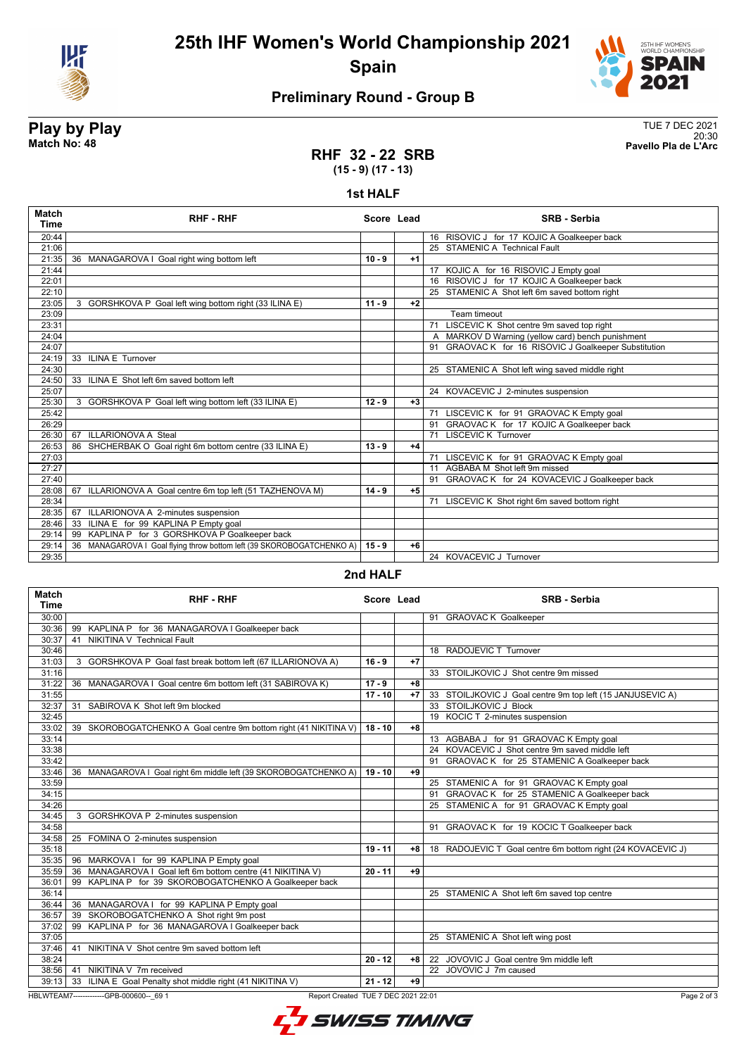

## **25th IHF Women's World Championship 2021 Spain**



20:30 **Match No: 48 Pavello Pla de L'Arc**

### **Preliminary Round - Group B**

# **Play by Play**<br>Match No: 48<br>Pavello Pla de L'Arc

#### **RHF 32 - 22 SRB (15 - 9) (17 - 13)**

#### **1st HALF**

| <b>Match</b><br>Time | <b>RHF-RHF</b>                                                        | Score Lead |      | <b>SRB - Serbia</b>                                   |
|----------------------|-----------------------------------------------------------------------|------------|------|-------------------------------------------------------|
| 20:44                |                                                                       |            |      | 16 RISOVIC J for 17 KOJIC A Goalkeeper back           |
| 21:06                |                                                                       |            |      | 25 STAMENIC A Technical Fault                         |
| 21:35                | 36 MANAGAROVA I Goal right wing bottom left                           | $10 - 9$   | $+1$ |                                                       |
| 21:44                |                                                                       |            |      | 17 KOJIC A for 16 RISOVIC J Empty goal                |
| 22:01                |                                                                       |            |      | 16 RISOVIC J for 17 KOJIC A Goalkeeper back           |
| 22:10                |                                                                       |            |      | 25 STAMENIC A Shot left 6m saved bottom right         |
| 23:05                | 3 GORSHKOVA P Goal left wing bottom right (33 ILINA E)                | $11 - 9$   | $+2$ |                                                       |
| 23:09                |                                                                       |            |      | Team timeout                                          |
| 23:31                |                                                                       |            |      | LISCEVIC K Shot centre 9m saved top right<br>71       |
| 24:04                |                                                                       |            |      | A MARKOV D Warning (yellow card) bench punishment     |
| 24:07                |                                                                       |            |      | 91 GRAOVAC K for 16 RISOVIC J Goalkeeper Substitution |
| 24:19                | 33 ILINA E Turnover                                                   |            |      |                                                       |
| 24:30                |                                                                       |            |      | 25 STAMENIC A Shot left wing saved middle right       |
| 24:50                | 33 ILINA E Shot left 6m saved bottom left                             |            |      |                                                       |
| 25:07                |                                                                       |            |      | 24 KOVACEVIC J 2-minutes suspension                   |
| 25:30                | 3 GORSHKOVA P Goal left wing bottom left (33 ILINA E)                 | $12 - 9$   | $+3$ |                                                       |
| 25:42                |                                                                       |            |      | 71 LISCEVIC K for 91 GRAOVAC K Empty goal             |
| 26:29                |                                                                       |            |      | 91 GRAOVAC K for 17 KOJIC A Goalkeeper back           |
| 26:30                | <b>ILLARIONOVA A Steal</b><br>67                                      |            |      | 71 LISCEVIC K Turnover                                |
| 26:53                | 86 SHCHERBAK O Goal right 6m bottom centre (33 ILINA E)               | $13 - 9$   | $+4$ |                                                       |
| 27:03                |                                                                       |            |      | 71 LISCEVIC K for 91 GRAOVAC K Empty goal             |
| 27:27                |                                                                       |            |      | 11 AGBABA M Shot left 9m missed                       |
| 27:40                |                                                                       |            |      | 91 GRAOVAC K for 24 KOVACEVIC J Goalkeeper back       |
| 28:08                | 67 ILLARIONOVA A Goal centre 6m top left (51 TAZHENOVA M)             | $14 - 9$   | $+5$ |                                                       |
| 28:34                |                                                                       |            |      | LISCEVIC K Shot right 6m saved bottom right<br>71     |
| 28:35                | ILLARIONOVA A 2-minutes suspension<br>67                              |            |      |                                                       |
| 28:46                | ILINA E for 99 KAPLINA P Empty goal<br>33                             |            |      |                                                       |
| 29:14                | KAPLINA P for 3 GORSHKOVA P Goalkeeper back<br>99                     |            |      |                                                       |
| 29:14                | 36 MANAGAROVA I Goal flying throw bottom left (39 SKOROBOGATCHENKO A) | $15 - 9$   | $+6$ |                                                       |
| 29:35                |                                                                       |            |      | 24 KOVACEVIC J Turnover                               |

#### **2nd HALF**

| <b>Match</b><br><b>Time</b>                                                                  | <b>RHF - RHF</b>                                                  | Score Lead |      | <b>SRB - Serbia</b>                                         |
|----------------------------------------------------------------------------------------------|-------------------------------------------------------------------|------------|------|-------------------------------------------------------------|
| 30:00                                                                                        |                                                                   |            |      | <b>GRAOVAC K Goalkeeper</b><br>91                           |
| 30:36                                                                                        | 99<br>KAPLINA P for 36 MANAGAROVA I Goalkeeper back               |            |      |                                                             |
| 30:37                                                                                        | NIKITINA V Technical Fault<br>41                                  |            |      |                                                             |
| 30:46                                                                                        |                                                                   |            |      | 18 RADOJEVIC T Turnover                                     |
| 31:03                                                                                        | 3 GORSHKOVA P Goal fast break bottom left (67 ILLARIONOVA A)      | $16 - 9$   | $+7$ |                                                             |
| 31:16                                                                                        |                                                                   |            |      | 33 STOILJKOVIC J Shot centre 9m missed                      |
| 31:22                                                                                        | 36 MANAGAROVA I Goal centre 6m bottom left (31 SABIROVA K)        | $17 - 9$   | $+8$ |                                                             |
| 31:55                                                                                        |                                                                   | $17 - 10$  | $+7$ | 33 STOILJKOVIC J Goal centre 9m top left (15 JANJUSEVIC A)  |
| 32:37                                                                                        | 31 SABIROVA K Shot left 9m blocked                                |            |      | 33 STOILJKOVIC J Block                                      |
| 32:45                                                                                        |                                                                   |            |      | 19 KOCIC T 2-minutes suspension                             |
| 33:02                                                                                        | 39 SKOROBOGATCHENKO A Goal centre 9m bottom right (41 NIKITINA V) | $18 - 10$  | $+8$ |                                                             |
| 33:14                                                                                        |                                                                   |            |      | 13 AGBABA J for 91 GRAOVAC K Empty goal                     |
| 33:38                                                                                        |                                                                   |            |      | 24 KOVACEVIC J Shot centre 9m saved middle left             |
| 33:42                                                                                        |                                                                   |            |      | GRAOVAC K for 25 STAMENIC A Goalkeeper back<br>91           |
| 33:46                                                                                        | 36 MANAGAROVA I Goal right 6m middle left (39 SKOROBOGATCHENKO A) | $19 - 10$  | $+9$ |                                                             |
| 33:59                                                                                        |                                                                   |            |      | 25 STAMENIC A for 91 GRAOVAC K Empty goal                   |
| 34:15                                                                                        |                                                                   |            |      | GRAOVAC K for 25 STAMENIC A Goalkeeper back<br>91           |
| 34:26                                                                                        |                                                                   |            |      | 25 STAMENIC A for 91 GRAOVAC K Empty goal                   |
| 34:45                                                                                        | 3 GORSHKOVA P 2-minutes suspension                                |            |      |                                                             |
| 34:58                                                                                        |                                                                   |            |      | 91 GRAOVAC K for 19 KOCIC T Goalkeeper back                 |
| 34:58                                                                                        | 25 FOMINA O 2-minutes suspension                                  |            |      |                                                             |
| 35:18                                                                                        |                                                                   | $19 - 11$  | $+8$ | 18 RADOJEVIC T Goal centre 6m bottom right (24 KOVACEVIC J) |
| 35:35                                                                                        | 96 MARKOVA I for 99 KAPLINA P Empty goal                          |            |      |                                                             |
| 35:59                                                                                        | MANAGAROVA I Goal left 6m bottom centre (41 NIKITINA V)<br>36     | $20 - 11$  | $+9$ |                                                             |
| 36:01                                                                                        | 99 KAPLINA P for 39 SKOROBOGATCHENKO A Goalkeeper back            |            |      |                                                             |
| 36:14                                                                                        |                                                                   |            |      | 25 STAMENIC A Shot left 6m saved top centre                 |
| 36:44                                                                                        | 36 MANAGAROVA I for 99 KAPLINA P Empty goal                       |            |      |                                                             |
| 36:57                                                                                        | SKOROBOGATCHENKO A Shot right 9m post<br>39                       |            |      |                                                             |
| 37:02                                                                                        | 99 KAPLINA P for 36 MANAGAROVA I Goalkeeper back                  |            |      |                                                             |
| 37:05                                                                                        |                                                                   |            |      | 25 STAMENIC A Shot left wing post                           |
| 37:46                                                                                        | 41 NIKITINA V Shot centre 9m saved bottom left                    |            |      |                                                             |
| 38:24                                                                                        |                                                                   | $20 - 12$  | $+8$ | 22 JOVOVIC J Goal centre 9m middle left                     |
| 38:56                                                                                        | 41 NIKITINA V 7m received                                         |            |      | 22 JOVOVIC J 7m caused                                      |
| 39:13                                                                                        | 33 ILINA E Goal Penalty shot middle right (41 NIKITINA V)         | $21 - 12$  | $+9$ |                                                             |
| HBLWTEAM7--------------GPB-000600-- 69 1<br>Report Created TUE 7 DEC 2021 22:01<br>Page 2 of |                                                                   |            |      |                                                             |